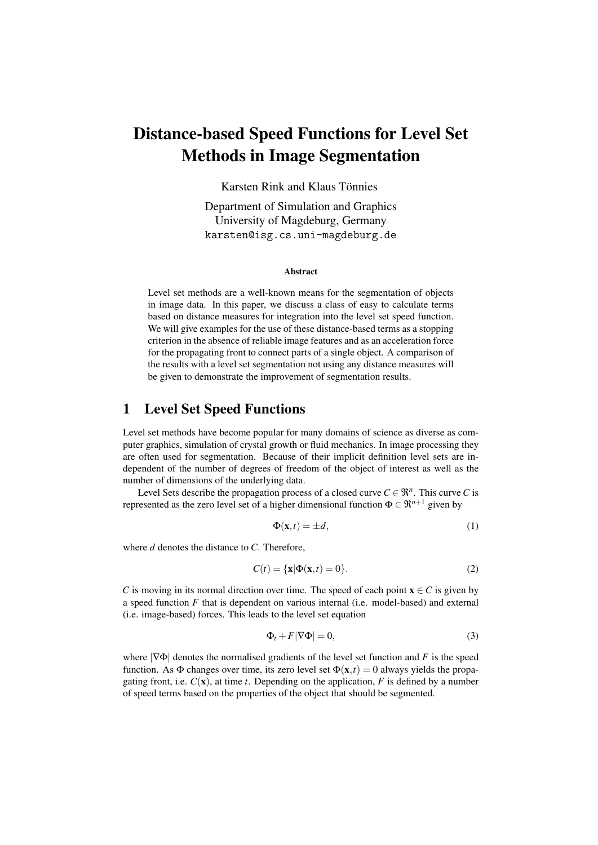# Distance-based Speed Functions for Level Set Methods in Image Segmentation

Karsten Rink and Klaus Tönnies

Department of Simulation and Graphics University of Magdeburg, Germany karsten@isg.cs.uni-magdeburg.de

#### Abstract

Level set methods are a well-known means for the segmentation of objects in image data. In this paper, we discuss a class of easy to calculate terms based on distance measures for integration into the level set speed function. We will give examples for the use of these distance-based terms as a stopping criterion in the absence of reliable image features and as an acceleration force for the propagating front to connect parts of a single object. A comparison of the results with a level set segmentation not using any distance measures will be given to demonstrate the improvement of segmentation results.

# 1 Level Set Speed Functions

Level set methods have become popular for many domains of science as diverse as computer graphics, simulation of crystal growth or fluid mechanics. In image processing they are often used for segmentation. Because of their implicit definition level sets are independent of the number of degrees of freedom of the object of interest as well as the number of dimensions of the underlying data.

Level Sets describe the propagation process of a closed curve  $C \in \mathbb{R}^n$ . This curve *C* is represented as the zero level set of a higher dimensional function  $\Phi \in \mathbb{R}^{n+1}$  given by

$$
\Phi(\mathbf{x},t) = \pm d,\tag{1}
$$

where *d* denotes the distance to *C*. Therefore,

$$
C(t) = \{\mathbf{x}|\Phi(\mathbf{x},t) = 0\}.
$$
 (2)

*C* is moving in its normal direction over time. The speed of each point  $\mathbf{x} \in C$  is given by a speed function *F* that is dependent on various internal (i.e. model-based) and external (i.e. image-based) forces. This leads to the level set equation

$$
\Phi_t + F|\nabla \Phi| = 0,\t\t(3)
$$

where  $|\nabla \Phi|$  denotes the normalised gradients of the level set function and *F* is the speed function. As  $\Phi$  changes over time, its zero level set  $\Phi(\mathbf{x},t) = 0$  always yields the propagating front, i.e.  $C(\mathbf{x})$ , at time *t*. Depending on the application, *F* is defined by a number of speed terms based on the properties of the object that should be segmented.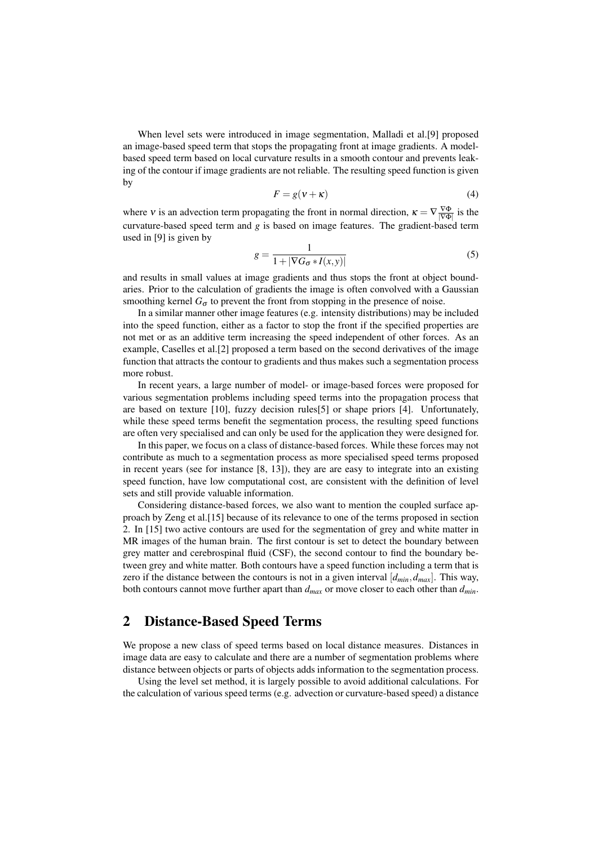When level sets were introduced in image segmentation, Malladi et al.[9] proposed an image-based speed term that stops the propagating front at image gradients. A modelbased speed term based on local curvature results in a smooth contour and prevents leaking of the contour if image gradients are not reliable. The resulting speed function is given by

$$
F = g(\nu + \kappa) \tag{4}
$$

where v is an advection term propagating the front in normal direction,  $\kappa = \nabla \frac{\nabla \Phi}{|\nabla \Phi|}$  is the curvature-based speed term and *g* is based on image features. The gradient-based term used in [9] is given by

$$
g = \frac{1}{1 + |\nabla G_{\sigma} * I(x, y)|} \tag{5}
$$

and results in small values at image gradients and thus stops the front at object boundaries. Prior to the calculation of gradients the image is often convolved with a Gaussian smoothing kernel  $G_{\sigma}$  to prevent the front from stopping in the presence of noise.

In a similar manner other image features (e.g. intensity distributions) may be included into the speed function, either as a factor to stop the front if the specified properties are not met or as an additive term increasing the speed independent of other forces. As an example, Caselles et al.[2] proposed a term based on the second derivatives of the image function that attracts the contour to gradients and thus makes such a segmentation process more robust.

In recent years, a large number of model- or image-based forces were proposed for various segmentation problems including speed terms into the propagation process that are based on texture [10], fuzzy decision rules[5] or shape priors [4]. Unfortunately, while these speed terms benefit the segmentation process, the resulting speed functions are often very specialised and can only be used for the application they were designed for.

In this paper, we focus on a class of distance-based forces. While these forces may not contribute as much to a segmentation process as more specialised speed terms proposed in recent years (see for instance [8, 13]), they are are easy to integrate into an existing speed function, have low computational cost, are consistent with the definition of level sets and still provide valuable information.

Considering distance-based forces, we also want to mention the coupled surface approach by Zeng et al.[15] because of its relevance to one of the terms proposed in section 2. In [15] two active contours are used for the segmentation of grey and white matter in MR images of the human brain. The first contour is set to detect the boundary between grey matter and cerebrospinal fluid (CSF), the second contour to find the boundary between grey and white matter. Both contours have a speed function including a term that is zero if the distance between the contours is not in a given interval  $[d_{min}, d_{max}]$ . This way, both contours cannot move further apart than *dmax* or move closer to each other than *dmin*.

# 2 Distance-Based Speed Terms

We propose a new class of speed terms based on local distance measures. Distances in image data are easy to calculate and there are a number of segmentation problems where distance between objects or parts of objects adds information to the segmentation process.

Using the level set method, it is largely possible to avoid additional calculations. For the calculation of various speed terms (e.g. advection or curvature-based speed) a distance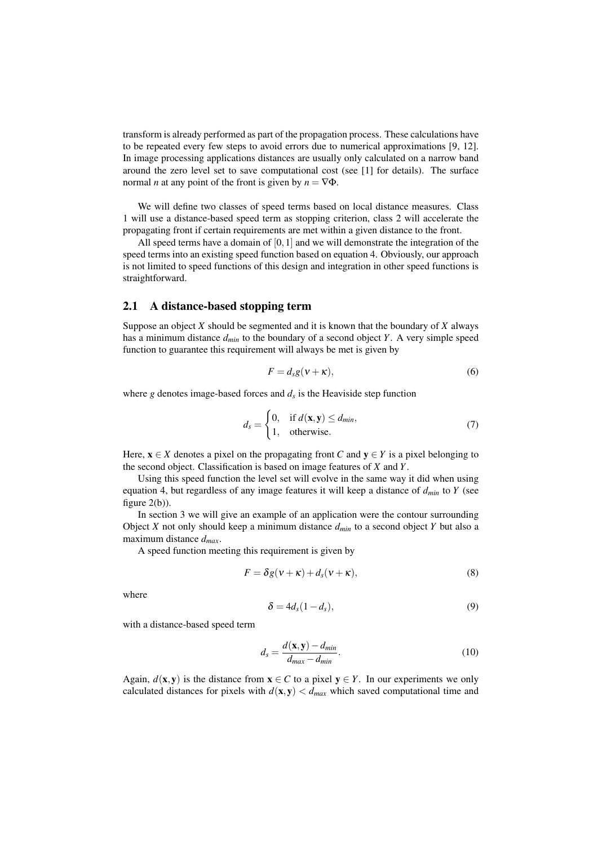transform is already performed as part of the propagation process. These calculations have to be repeated every few steps to avoid errors due to numerical approximations [9, 12]. In image processing applications distances are usually only calculated on a narrow band around the zero level set to save computational cost (see [1] for details). The surface normal *n* at any point of the front is given by  $n = \nabla \Phi$ .

We will define two classes of speed terms based on local distance measures. Class 1 will use a distance-based speed term as stopping criterion, class 2 will accelerate the propagating front if certain requirements are met within a given distance to the front.

All speed terms have a domain of [0,1] and we will demonstrate the integration of the speed terms into an existing speed function based on equation 4. Obviously, our approach is not limited to speed functions of this design and integration in other speed functions is straightforward.

### 2.1 A distance-based stopping term

Suppose an object *X* should be segmented and it is known that the boundary of *X* always has a minimum distance *dmin* to the boundary of a second object *Y*. A very simple speed function to guarantee this requirement will always be met is given by

$$
F = d_s g(v + \kappa),\tag{6}
$$

where  $g$  denotes image-based forces and  $d_s$  is the Heaviside step function

$$
d_s = \begin{cases} 0, & \text{if } d(\mathbf{x}, \mathbf{y}) \le d_{\text{min}}, \\ 1, & \text{otherwise.} \end{cases} \tag{7}
$$

Here,  $x \in X$  denotes a pixel on the propagating front *C* and  $y \in Y$  is a pixel belonging to the second object. Classification is based on image features of *X* and *Y*.

Using this speed function the level set will evolve in the same way it did when using equation 4, but regardless of any image features it will keep a distance of *dmin* to *Y* (see figure  $2(b)$ ).

In section 3 we will give an example of an application were the contour surrounding Object *X* not only should keep a minimum distance  $d_{min}$  to a second object *Y* but also a maximum distance *dmax*.

A speed function meeting this requirement is given by

$$
F = \delta g(v + \kappa) + d_s(v + \kappa),\tag{8}
$$

where

$$
\delta = 4d_s(1 - d_s),\tag{9}
$$

with a distance-based speed term

$$
d_s = \frac{d(\mathbf{x}, \mathbf{y}) - d_{min}}{d_{max} - d_{min}}.\tag{10}
$$

Again,  $d(x, y)$  is the distance from  $x \in C$  to a pixel  $y \in Y$ . In our experiments we only calculated distances for pixels with  $d(\mathbf{x}, \mathbf{y}) < d_{max}$  which saved computational time and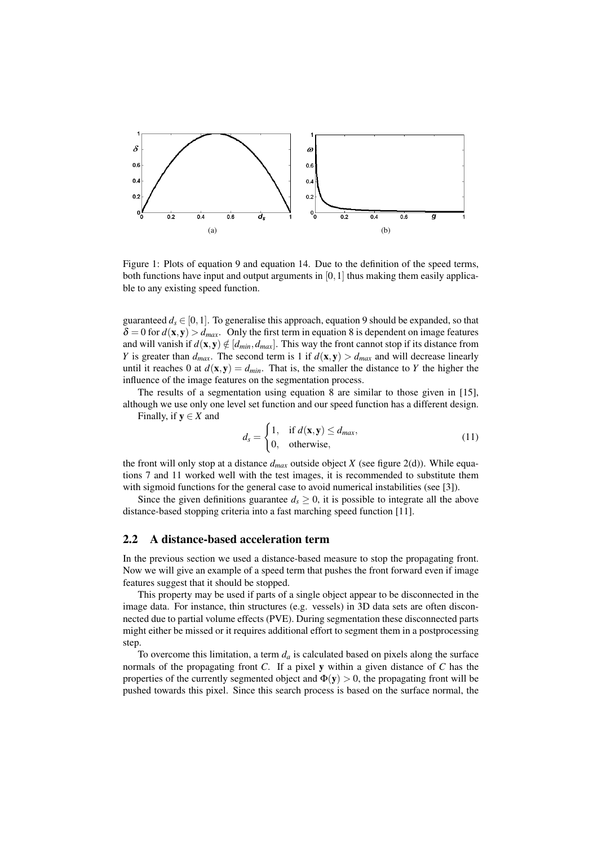

Figure 1: Plots of equation 9 and equation 14. Due to the definition of the speed terms, both functions have input and output arguments in  $[0,1]$  thus making them easily applicable to any existing speed function.

guaranteed  $d_s \in [0,1]$ . To generalise this approach, equation 9 should be expanded, so that  $\delta = 0$  for  $d(\mathbf{x}, \mathbf{y}) > d_{max}$ . Only the first term in equation 8 is dependent on image features and will vanish if  $d(\mathbf{x}, \mathbf{y}) \notin [d_{min}, d_{max}]$ . This way the front cannot stop if its distance from *Y* is greater than  $d_{max}$ . The second term is 1 if  $d(\mathbf{x}, \mathbf{y}) > d_{max}$  and will decrease linearly until it reaches 0 at  $d(\mathbf{x}, \mathbf{y}) = d_{min}$ . That is, the smaller the distance to *Y* the higher the influence of the image features on the segmentation process.

The results of a segmentation using equation 8 are similar to those given in [15], although we use only one level set function and our speed function has a different design. Finally, if  $y \in X$  and

$$
d_s = \begin{cases} 1, & \text{if } d(\mathbf{x}, \mathbf{y}) \le d_{\text{max}}, \\ 0, & \text{otherwise}, \end{cases} \tag{11}
$$

the front will only stop at a distance *dmax* outside object *X* (see figure 2(d)). While equations 7 and 11 worked well with the test images, it is recommended to substitute them with sigmoid functions for the general case to avoid numerical instabilities (see [3]).

Since the given definitions guarantee  $d_s \geq 0$ , it is possible to integrate all the above distance-based stopping criteria into a fast marching speed function [11].

### 2.2 A distance-based acceleration term

In the previous section we used a distance-based measure to stop the propagating front. Now we will give an example of a speed term that pushes the front forward even if image features suggest that it should be stopped.

This property may be used if parts of a single object appear to be disconnected in the image data. For instance, thin structures (e.g. vessels) in 3D data sets are often disconnected due to partial volume effects (PVE). During segmentation these disconnected parts might either be missed or it requires additional effort to segment them in a postprocessing step.

To overcome this limitation, a term  $d_a$  is calculated based on pixels along the surface normals of the propagating front *C*. If a pixel y within a given distance of *C* has the properties of the currently segmented object and  $\Phi(\mathbf{v}) > 0$ , the propagating front will be pushed towards this pixel. Since this search process is based on the surface normal, the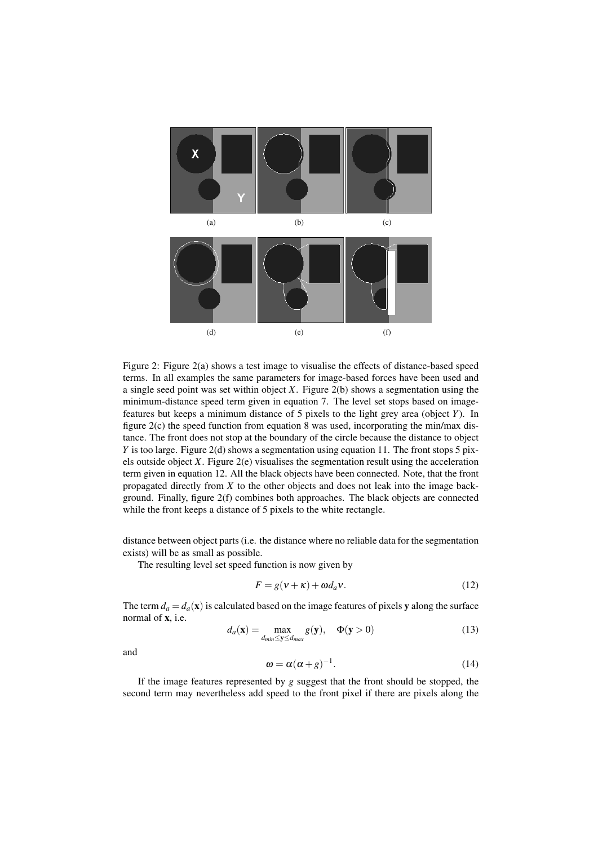

Figure 2: Figure 2(a) shows a test image to visualise the effects of distance-based speed terms. In all examples the same parameters for image-based forces have been used and a single seed point was set within object *X*. Figure 2(b) shows a segmentation using the minimum-distance speed term given in equation 7. The level set stops based on imagefeatures but keeps a minimum distance of 5 pixels to the light grey area (object *Y*). In figure  $2(c)$  the speed function from equation 8 was used, incorporating the min/max distance. The front does not stop at the boundary of the circle because the distance to object *Y* is too large. Figure 2(d) shows a segmentation using equation 11. The front stops 5 pixels outside object *X*. Figure 2(e) visualises the segmentation result using the acceleration term given in equation 12. All the black objects have been connected. Note, that the front propagated directly from *X* to the other objects and does not leak into the image background. Finally, figure 2(f) combines both approaches. The black objects are connected while the front keeps a distance of 5 pixels to the white rectangle.

distance between object parts (i.e. the distance where no reliable data for the segmentation exists) will be as small as possible.

The resulting level set speed function is now given by

$$
F = g(v + \kappa) + \omega d_a v. \tag{12}
$$

The term  $d_a = d_a(\mathbf{x})$  is calculated based on the image features of pixels y along the surface normal of x, i.e.

$$
d_a(\mathbf{x}) = \max_{d_{min} \le \mathbf{y} \le d_{max}} g(\mathbf{y}), \quad \Phi(\mathbf{y} > 0)
$$
\n(13)

and

$$
\omega = \alpha(\alpha + \beta)^{-1}.
$$
 (14)

If the image features represented by *g* suggest that the front should be stopped, the second term may nevertheless add speed to the front pixel if there are pixels along the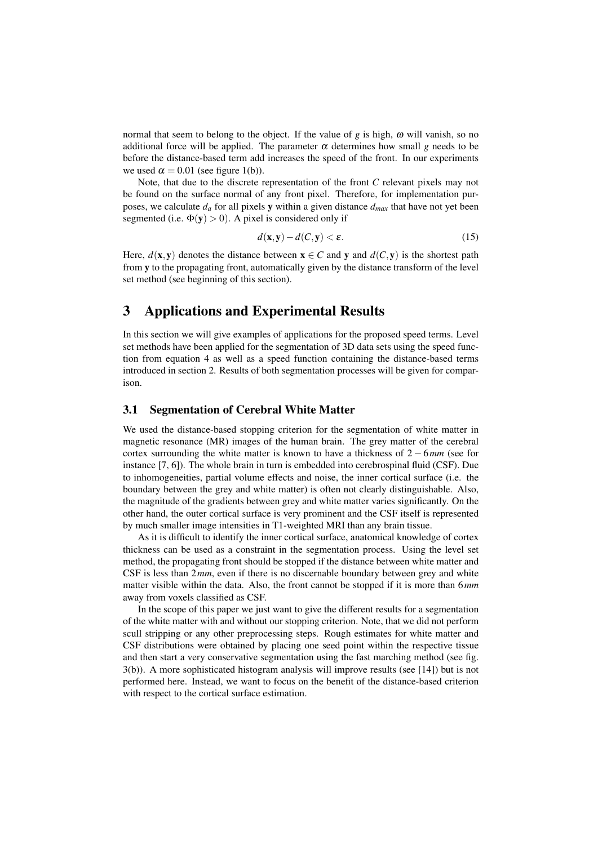normal that seem to belong to the object. If the value of *g* is high, ω will vanish, so no additional force will be applied. The parameter  $\alpha$  determines how small *g* needs to be before the distance-based term add increases the speed of the front. In our experiments we used  $\alpha = 0.01$  (see figure 1(b)).

Note, that due to the discrete representation of the front *C* relevant pixels may not be found on the surface normal of any front pixel. Therefore, for implementation purposes, we calculate  $d_a$  for all pixels y within a given distance  $d_{max}$  that have not yet been segmented (i.e.  $\Phi(y) > 0$ ). A pixel is considered only if

$$
d(\mathbf{x}, \mathbf{y}) - d(C, \mathbf{y}) < \varepsilon. \tag{15}
$$

Here,  $d(x, y)$  denotes the distance between  $x \in C$  and y and  $d(C, y)$  is the shortest path from y to the propagating front, automatically given by the distance transform of the level set method (see beginning of this section).

# 3 Applications and Experimental Results

In this section we will give examples of applications for the proposed speed terms. Level set methods have been applied for the segmentation of 3D data sets using the speed function from equation 4 as well as a speed function containing the distance-based terms introduced in section 2. Results of both segmentation processes will be given for comparison.

### 3.1 Segmentation of Cerebral White Matter

We used the distance-based stopping criterion for the segmentation of white matter in magnetic resonance (MR) images of the human brain. The grey matter of the cerebral cortex surrounding the white matter is known to have a thickness of 2 − 6*mm* (see for instance [7, 6]). The whole brain in turn is embedded into cerebrospinal fluid (CSF). Due to inhomogeneities, partial volume effects and noise, the inner cortical surface (i.e. the boundary between the grey and white matter) is often not clearly distinguishable. Also, the magnitude of the gradients between grey and white matter varies significantly. On the other hand, the outer cortical surface is very prominent and the CSF itself is represented by much smaller image intensities in T1-weighted MRI than any brain tissue.

As it is difficult to identify the inner cortical surface, anatomical knowledge of cortex thickness can be used as a constraint in the segmentation process. Using the level set method, the propagating front should be stopped if the distance between white matter and CSF is less than 2*mm*, even if there is no discernable boundary between grey and white matter visible within the data. Also, the front cannot be stopped if it is more than 6*mm* away from voxels classified as CSF.

In the scope of this paper we just want to give the different results for a segmentation of the white matter with and without our stopping criterion. Note, that we did not perform scull stripping or any other preprocessing steps. Rough estimates for white matter and CSF distributions were obtained by placing one seed point within the respective tissue and then start a very conservative segmentation using the fast marching method (see fig. 3(b)). A more sophisticated histogram analysis will improve results (see [14]) but is not performed here. Instead, we want to focus on the benefit of the distance-based criterion with respect to the cortical surface estimation.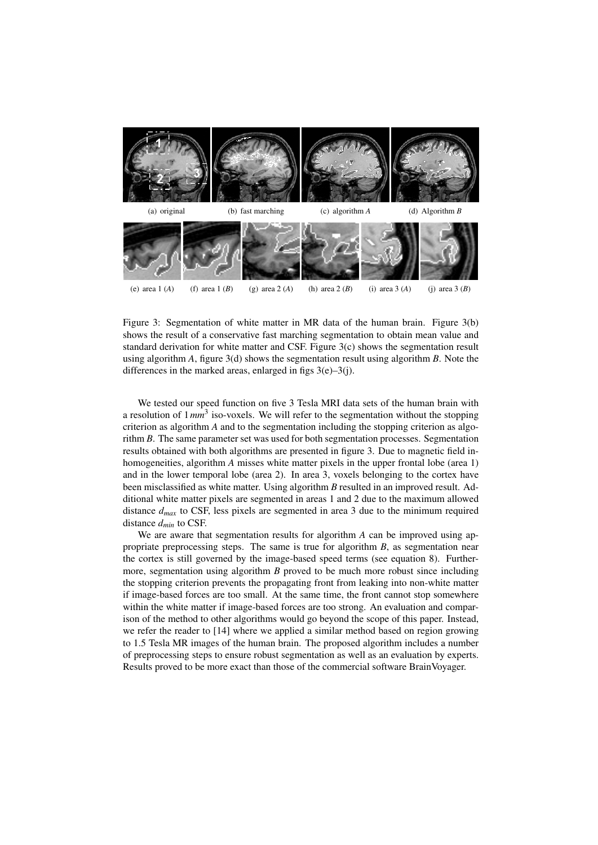

Figure 3: Segmentation of white matter in MR data of the human brain. Figure 3(b) shows the result of a conservative fast marching segmentation to obtain mean value and standard derivation for white matter and CSF. Figure 3(c) shows the segmentation result using algorithm *A*, figure 3(d) shows the segmentation result using algorithm *B*. Note the differences in the marked areas, enlarged in figs  $3(e) - 3(i)$ .

We tested our speed function on five 3 Tesla MRI data sets of the human brain with a resolution of  $1mm^3$  iso-voxels. We will refer to the segmentation without the stopping criterion as algorithm *A* and to the segmentation including the stopping criterion as algorithm *B*. The same parameter set was used for both segmentation processes. Segmentation results obtained with both algorithms are presented in figure 3. Due to magnetic field inhomogeneities, algorithm *A* misses white matter pixels in the upper frontal lobe (area 1) and in the lower temporal lobe (area 2). In area 3, voxels belonging to the cortex have been misclassified as white matter. Using algorithm *B* resulted in an improved result. Additional white matter pixels are segmented in areas 1 and 2 due to the maximum allowed distance  $d_{max}$  to CSF, less pixels are segmented in area 3 due to the minimum required distance *dmin* to CSF.

We are aware that segmentation results for algorithm *A* can be improved using appropriate preprocessing steps. The same is true for algorithm *B*, as segmentation near the cortex is still governed by the image-based speed terms (see equation 8). Furthermore, segmentation using algorithm *B* proved to be much more robust since including the stopping criterion prevents the propagating front from leaking into non-white matter if image-based forces are too small. At the same time, the front cannot stop somewhere within the white matter if image-based forces are too strong. An evaluation and comparison of the method to other algorithms would go beyond the scope of this paper. Instead, we refer the reader to [14] where we applied a similar method based on region growing to 1.5 Tesla MR images of the human brain. The proposed algorithm includes a number of preprocessing steps to ensure robust segmentation as well as an evaluation by experts. Results proved to be more exact than those of the commercial software BrainVoyager.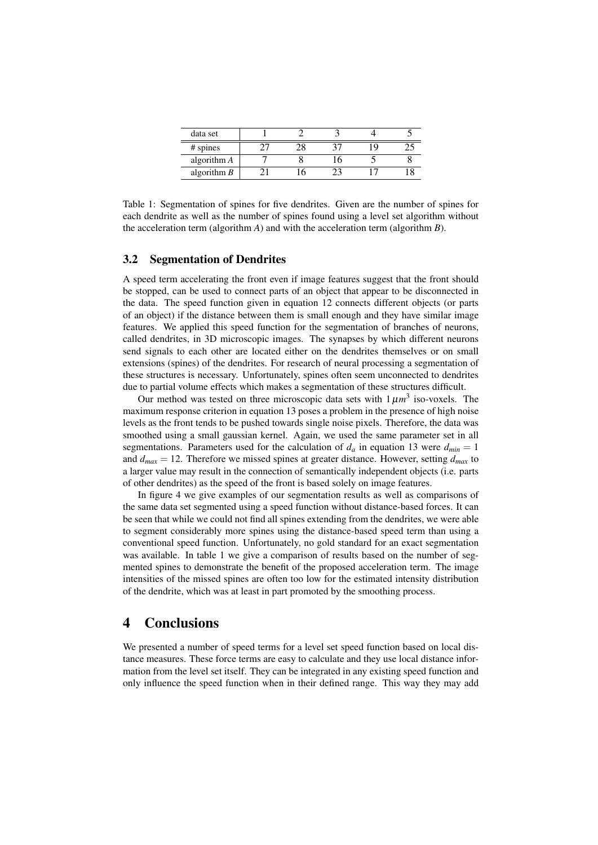| data set      |  |  |  |
|---------------|--|--|--|
| # spines      |  |  |  |
| algorithm A   |  |  |  |
| algorithm $B$ |  |  |  |

Table 1: Segmentation of spines for five dendrites. Given are the number of spines for each dendrite as well as the number of spines found using a level set algorithm without the acceleration term (algorithm *A*) and with the acceleration term (algorithm *B*).

### 3.2 Segmentation of Dendrites

A speed term accelerating the front even if image features suggest that the front should be stopped, can be used to connect parts of an object that appear to be disconnected in the data. The speed function given in equation 12 connects different objects (or parts of an object) if the distance between them is small enough and they have similar image features. We applied this speed function for the segmentation of branches of neurons, called dendrites, in 3D microscopic images. The synapses by which different neurons send signals to each other are located either on the dendrites themselves or on small extensions (spines) of the dendrites. For research of neural processing a segmentation of these structures is necessary. Unfortunately, spines often seem unconnected to dendrites due to partial volume effects which makes a segmentation of these structures difficult.

Our method was tested on three microscopic data sets with  $1 \mu m^3$  iso-voxels. The maximum response criterion in equation 13 poses a problem in the presence of high noise levels as the front tends to be pushed towards single noise pixels. Therefore, the data was smoothed using a small gaussian kernel. Again, we used the same parameter set in all segmentations. Parameters used for the calculation of  $d_a$  in equation 13 were  $d_{min} = 1$ and  $d_{max} = 12$ . Therefore we missed spines at greater distance. However, setting  $d_{max}$  to a larger value may result in the connection of semantically independent objects (i.e. parts of other dendrites) as the speed of the front is based solely on image features.

In figure 4 we give examples of our segmentation results as well as comparisons of the same data set segmented using a speed function without distance-based forces. It can be seen that while we could not find all spines extending from the dendrites, we were able to segment considerably more spines using the distance-based speed term than using a conventional speed function. Unfortunately, no gold standard for an exact segmentation was available. In table 1 we give a comparison of results based on the number of segmented spines to demonstrate the benefit of the proposed acceleration term. The image intensities of the missed spines are often too low for the estimated intensity distribution of the dendrite, which was at least in part promoted by the smoothing process.

## 4 Conclusions

We presented a number of speed terms for a level set speed function based on local distance measures. These force terms are easy to calculate and they use local distance information from the level set itself. They can be integrated in any existing speed function and only influence the speed function when in their defined range. This way they may add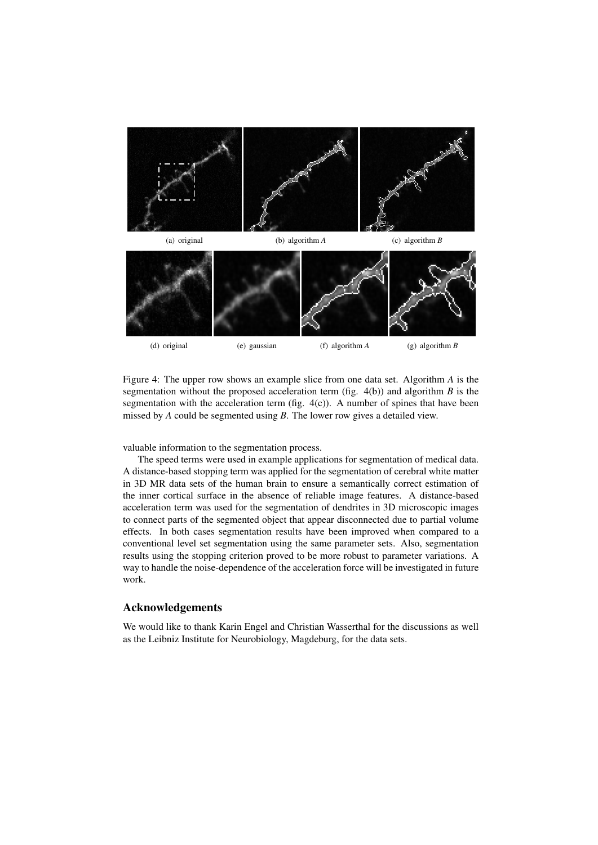

Figure 4: The upper row shows an example slice from one data set. Algorithm *A* is the segmentation without the proposed acceleration term (fig. 4(b)) and algorithm *B* is the segmentation with the acceleration term (fig. 4(c)). A number of spines that have been missed by *A* could be segmented using *B*. The lower row gives a detailed view.

valuable information to the segmentation process.

The speed terms were used in example applications for segmentation of medical data. A distance-based stopping term was applied for the segmentation of cerebral white matter in 3D MR data sets of the human brain to ensure a semantically correct estimation of the inner cortical surface in the absence of reliable image features. A distance-based acceleration term was used for the segmentation of dendrites in 3D microscopic images to connect parts of the segmented object that appear disconnected due to partial volume effects. In both cases segmentation results have been improved when compared to a conventional level set segmentation using the same parameter sets. Also, segmentation results using the stopping criterion proved to be more robust to parameter variations. A way to handle the noise-dependence of the acceleration force will be investigated in future work.

### Acknowledgements

We would like to thank Karin Engel and Christian Wasserthal for the discussions as well as the Leibniz Institute for Neurobiology, Magdeburg, for the data sets.